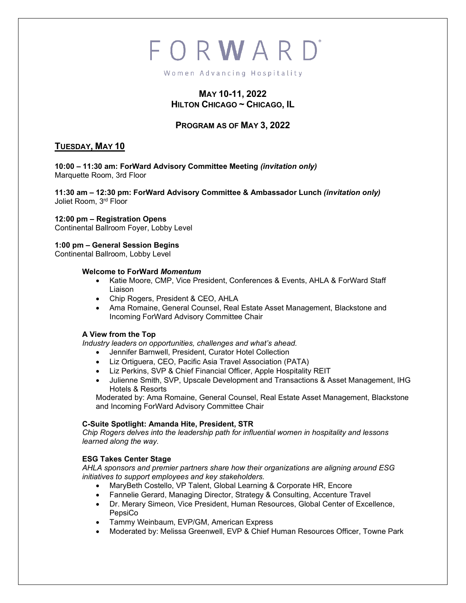# FORWARD

Women Advancing Hospitality

# **MAY 10-11, 2022 HILTON CHICAGO ~ CHICAGO, IL**

# **PROGRAM AS OF MAY 3, 2022**

# **TUESDAY, MAY 10**

**10:00 – 11:30 am: ForWard Advisory Committee Meeting** *(invitation only)* Marquette Room, 3rd Floor

**11:30 am – 12:30 pm: ForWard Advisory Committee & Ambassador Lunch** *(invitation only)* Joliet Room, 3rd Floor

#### **12:00 pm – Registration Opens**

Continental Ballroom Foyer, Lobby Level

# **1:00 pm – General Session Begins**

Continental Ballroom, Lobby Level

#### **Welcome to ForWard** *Momentum*

- Katie Moore, CMP, Vice President, Conferences & Events, AHLA & ForWard Staff Liaison
- Chip Rogers, President & CEO, AHLA
- Ama Romaine, General Counsel, Real Estate Asset Management, Blackstone and Incoming ForWard Advisory Committee Chair

#### **A View from the Top**

*Industry leaders on opportunities, challenges and what's ahead.*

- Jennifer Barnwell, President, Curator Hotel Collection
- Liz Ortiguera, CEO, Pacific Asia Travel Association (PATA)
- Liz Perkins, SVP & Chief Financial Officer, Apple Hospitality REIT
- Julienne Smith, SVP, Upscale Development and Transactions & Asset Management, IHG Hotels & Resorts

Moderated by: Ama Romaine, General Counsel, Real Estate Asset Management, Blackstone and Incoming ForWard Advisory Committee Chair

#### **C-Suite Spotlight: Amanda Hite, President, STR**

*Chip Rogers delves into the leadership path for influential women in hospitality and lessons learned along the way.*

#### **ESG Takes Center Stage**

*AHLA sponsors and premier partners share how their organizations are aligning around ESG initiatives to support employees and key stakeholders.* 

- MaryBeth Costello, VP Talent, Global Learning & Corporate HR, Encore
- Fannelie Gerard, Managing Director, Strategy & Consulting, Accenture Travel
- Dr. Merary Simeon, Vice President, Human Resources, Global Center of Excellence, PepsiCo
- Tammy Weinbaum, EVP/GM, American Express
- Moderated by: Melissa Greenwell, EVP & Chief Human Resources Officer, Towne Park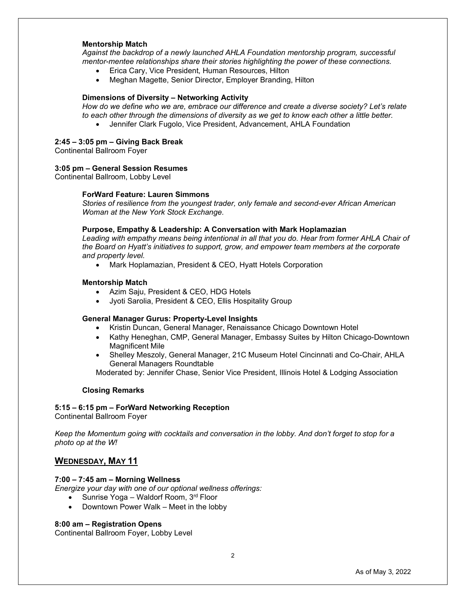#### **Mentorship Match**

*Against the backdrop of a newly launched AHLA Foundation mentorship program, successful mentor-mentee relationships share their stories highlighting the power of these connections.*

- Erica Cary, Vice President, Human Resources, Hilton
- Meghan Magette, Senior Director, Employer Branding, Hilton

#### **Dimensions of Diversity – Networking Activity**

*How do we define who we are, embrace our difference and create a diverse society? Let's relate to each other through the dimensions of diversity as we get to know each other a little better.*

• Jennifer Clark Fugolo, Vice President, Advancement, AHLA Foundation

#### **2:45 – 3:05 pm – Giving Back Break**

Continental Ballroom Foyer

#### **3:05 pm – General Session Resumes**

Continental Ballroom, Lobby Level

#### **ForWard Feature: Lauren Simmons**

*Stories of resilience from the youngest trader, only female and second-ever African American Woman at the New York Stock Exchange.* 

#### **Purpose, Empathy & Leadership: A Conversation with Mark Hoplamazian**

*Leading with empathy means being intentional in all that you do. Hear from former AHLA Chair of the Board on Hyatt's initiatives to support, grow, and empower team members at the corporate and property level.*

• Mark Hoplamazian, President & CEO, Hyatt Hotels Corporation

#### **Mentorship Match**

- Azim Saju, President & CEO, HDG Hotels
- Jyoti Sarolia, President & CEO, Ellis Hospitality Group

#### **General Manager Gurus: Property-Level Insights**

- Kristin Duncan, General Manager, Renaissance Chicago Downtown Hotel
- Kathy Heneghan, CMP, General Manager, Embassy Suites by Hilton Chicago-Downtown Magnificent Mile
- Shelley Meszoly, General Manager, 21C Museum Hotel Cincinnati and Co-Chair, AHLA General Managers Roundtable

Moderated by: Jennifer Chase, Senior Vice President, Illinois Hotel & Lodging Association

#### **Closing Remarks**

# **5:15 – 6:15 pm – ForWard Networking Reception**

Continental Ballroom Foyer

*Keep the Momentum going with cocktails and conversation in the lobby. And don't forget to stop for a photo op at the W!*

#### **WEDNESDAY, MAY 11**

#### **7:00 – 7:45 am – Morning Wellness**

*Energize your day with one of our optional wellness offerings:*

- Sunrise Yoga Waldorf Room,  $3<sup>rd</sup>$  Floor
- Downtown Power Walk Meet in the lobby

#### **8:00 am – Registration Opens**

Continental Ballroom Foyer, Lobby Level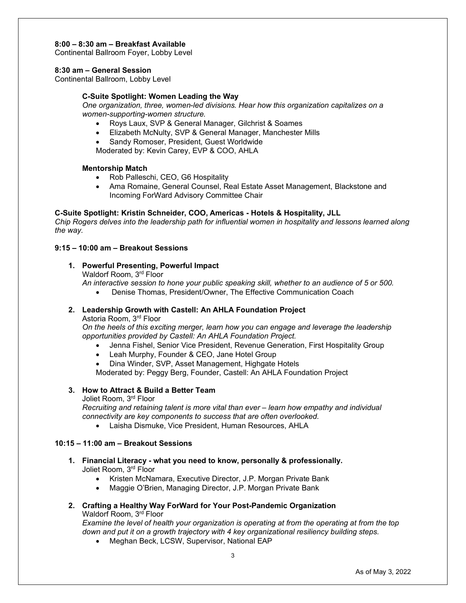#### **8:00 – 8:30 am – Breakfast Available**

Continental Ballroom Foyer, Lobby Level

#### **8:30 am – General Session**

Continental Ballroom, Lobby Level

#### **C-Suite Spotlight: Women Leading the Way**

*One organization, three, women-led divisions. Hear how this organization capitalizes on a women-supporting-women structure.* 

- Roys Laux, SVP & General Manager, Gilchrist & Soames
- Elizabeth McNulty, SVP & General Manager, Manchester Mills
- Sandy Romoser, President, Guest Worldwide

Moderated by: Kevin Carey, EVP & COO, AHLA

#### **Mentorship Match**

- Rob Palleschi, CEO, G6 Hospitality
- Ama Romaine, General Counsel, Real Estate Asset Management, Blackstone and Incoming ForWard Advisory Committee Chair

## **C-Suite Spotlight: Kristin Schneider, COO, Americas - Hotels & Hospitality, JLL**

*Chip Rogers delves into the leadership path for influential women in hospitality and lessons learned along the way.* 

# **9:15 – 10:00 am – Breakout Sessions**

**1. Powerful Presenting, Powerful Impact** Waldorf Room, 3rd Floor

*An interactive session to hone your public speaking skill, whether to an audience of 5 or 500.* 

• Denise Thomas, President/Owner, The Effective Communication Coach

### **2. Leadership Growth with Castell: An AHLA Foundation Project**

Astoria Room, 3rd Floor

*On the heels of this exciting merger, learn how you can engage and leverage the leadership opportunities provided by Castell: An AHLA Foundation Project.* 

- Jenna Fishel, Senior Vice President, Revenue Generation, First Hospitality Group
- Leah Murphy, Founder & CEO, Jane Hotel Group

• Dina Winder, SVP, Asset Management, Highgate Hotels Moderated by: Peggy Berg, Founder, Castell: An AHLA Foundation Project

# **3. How to Attract & Build a Better Team**

Joliet Room, 3rd Floor

*Recruiting and retaining talent is more vital than ever – learn how empathy and individual connectivity are key components to success that are often overlooked.* 

• Laisha Dismuke, Vice President, Human Resources, AHLA

#### **10:15 – 11:00 am – Breakout Sessions**

- **1. Financial Literacy - what you need to know, personally & professionally.** Joliet Room, 3rd Floor
	- Kristen McNamara, Executive Director, J.P. Morgan Private Bank
	- Maggie O'Brien, Managing Director, J.P. Morgan Private Bank
- **2. Crafting a Healthy Way ForWard for Your Post-Pandemic Organization**  Waldorf Room, 3rd Floor

*Examine the level of health your organization is operating at from the operating at from the top down and put it on a growth trajectory with 4 key organizational resiliency building steps.*

• Meghan Beck, LCSW, Supervisor, National EAP